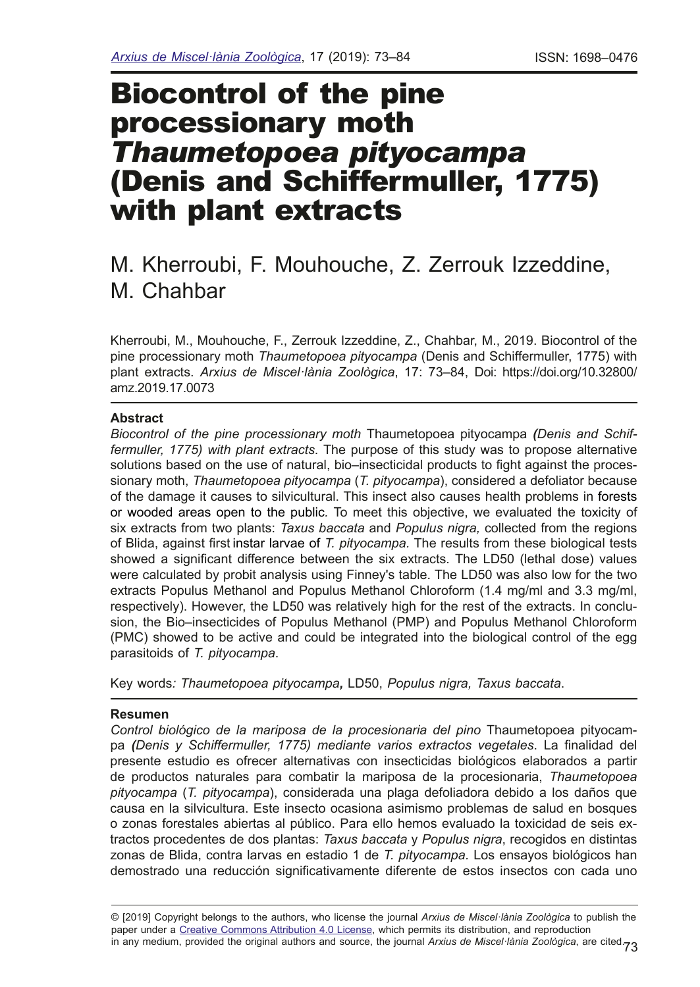# Biocontrol of the pine processionary moth *Thaumetopoea pityocampa* (Denis and Schiffermuller, 1775) with plant extracts

## M. Kherroubi, F. Mouhouche, Z. Zerrouk Izzeddine, M. Chahbar

Kherroubi, M., Mouhouche, F., Zerrouk Izzeddine, Z., Chahbar, M., 2019. Biocontrol of the pine processionary moth *Thaumetopoea pityocampa* (Denis and Schiffermuller, 1775) with plant extracts. *Arxius de Miscel·lània Zoològica*, 17: 73–84, Doi: https://doi.org/10.32800/ amz.2019.17.0073

## **Abstract**

*Biocontrol of the pine processionary moth* Thaumetopoea pityocampa *(Denis and Schiffermuller, 1775) with plant extracts*. The purpose of this study was to propose alternative solutions based on the use of natural, bio–insecticidal products to fight against the processionary moth, *Thaumetopoea pityocampa* (*T. pityocampa*), considered a defoliator because of the damage it causes to silvicultural. This insect also causes health problems in forests or wooded areas open to the public*.* To meet this objective, we evaluated the toxicity of six extracts from two plants: *Taxus baccata* and *Populus nigra,* collected from the regions of Blida, against frst instar larvae of *T. pityocampa.* The results from these biological tests showed a signifcant difference between the six extracts. The LD50 (lethal dose) values were calculated by probit analysis using Finney's table. The LD50 was also low for the two extracts Populus Methanol and Populus Methanol Chloroform (1.4 mg/ml and 3.3 mg/ml, respectively). However, the LD50 was relatively high for the rest of the extracts. In conclusion, the Bio–insecticides of Populus Methanol (PMP) and Populus Methanol Chloroform (PMC) showed to be active and could be integrated into the biological control of the egg parasitoids of *T. pityocampa*.

Key words*: Thaumetopoea pityocampa,* LD50, *Populus nigra, Taxus baccata*.

#### **Resumen**

*Control biológico de la mariposa de la procesionaria del pino* Thaumetopoea pityocampa *(Denis y Schiffermuller, 1775) mediante varios extractos vegetales*. La fnalidad del presente estudio es ofrecer alternativas con insecticidas biológicos elaborados a partir de productos naturales para combatir la mariposa de la procesionaria, *Thaumetopoea pityocampa* (*T. pityocampa*), considerada una plaga defoliadora debido a los daños que causa en la silvicultura. Este insecto ocasiona asimismo problemas de salud en bosques o zonas forestales abiertas al público. Para ello hemos evaluado la toxicidad de seis extractos procedentes de dos plantas: *Taxus baccata* y *Populus nigra*, recogidos en distintas zonas de Blida, contra larvas en estadio 1 de *T. pityocampa.* Los ensayos biológicos han demostrado una reducción signifcativamente diferente de estos insectos con cada uno

in any medium, provided the original authors and source, the journal *Arxius de Miscel·lània Zoològica*, are cited.<sub>73</sub> © [2019] Copyright belongs to the authors, who license the journal *Arxius de Miscel·lània Zoològica* to publish the paper under a [Creative Commons Attribution 4.0 License](http://creativecommons.org/licenses/by/4.0/deed.en), which permits its distribution, and reproduction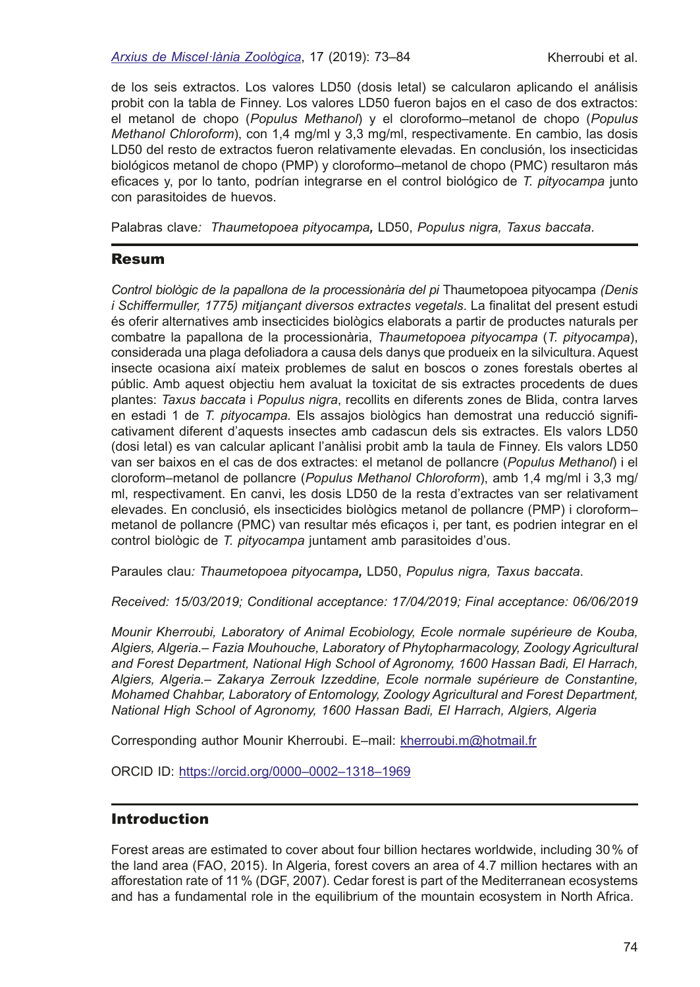de los seis extractos. Los valores LD50 (dosis letal) se calcularon aplicando el análisis probit con la tabla de Finney. Los valores LD50 fueron bajos en el caso de dos extractos: el metanol de chopo (*Populus Methanol*) y el cloroformo–metanol de chopo (*Populus Methanol Chloroform*), con 1,4 mg/ml y 3,3 mg/ml, respectivamente. En cambio, las dosis LD50 del resto de extractos fueron relativamente elevadas. En conclusión, los insecticidas biológicos metanol de chopo (PMP) y cloroformo–metanol de chopo (PMC) resultaron más efcaces y, por lo tanto, podrían integrarse en el control biológico de *T. pityocampa* junto con parasitoides de huevos.

Palabras clave*: Thaumetopoea pityocampa,* LD50, *Populus nigra, Taxus baccata*.

## Resum

*Control biològic de la papallona de la processionària del pi* Thaumetopoea pityocampa *(Denis i Schiffermuller, 1775) mitjançant diversos extractes vegetals*. La fnalitat del present estudi és oferir alternatives amb insecticides biològics elaborats a partir de productes naturals per combatre la papallona de la processionària, *Thaumetopoea pityocampa* (*T. pityocampa*), considerada una plaga defoliadora a causa dels danys que produeix en la silvicultura. Aquest insecte ocasiona així mateix problemes de salut en boscos o zones forestals obertes al públic. Amb aquest objectiu hem avaluat la toxicitat de sis extractes procedents de dues plantes: *Taxus baccata* i *Populus nigra*, recollits en diferents zones de Blida, contra larves en estadi 1 de *T. pityocampa.* Els assajos biològics han demostrat una reducció signifcativament diferent d'aquests insectes amb cadascun dels sis extractes. Els valors LD50 (dosi letal) es van calcular aplicant l'anàlisi probit amb la taula de Finney. Els valors LD50 van ser baixos en el cas de dos extractes: el metanol de pollancre (*Populus Methanol*) i el cloroform–metanol de pollancre (*Populus Methanol Chloroform*), amb 1,4 mg/ml i 3,3 mg/ ml, respectivament. En canvi, les dosis LD50 de la resta d'extractes van ser relativament elevades. En conclusió, els insecticides biològics metanol de pollancre (PMP) i cloroform– metanol de pollancre (PMC) van resultar més efcaços i, per tant, es podrien integrar en el control biològic de *T. pityocampa* juntament amb parasitoides d'ous.

Paraules clau*: Thaumetopoea pityocampa,* LD50, *Populus nigra, Taxus baccata*.

*Received: 15/03/2019; Conditional acceptance: 17/04/2019; Final acceptance: 06/06/2019* 

*Mounir Kherroubi, Laboratory of Animal Ecobiology, Ecole normale supérieure de Kouba, Algiers, Algeria.*– *Fazia Mouhouche, Laboratory of Phytopharmacology, Zoology Agricultural and Forest Department, National High School of Agronomy, 1600 Hassan Badi, El Harrach, Algiers, Algeria.*– *Zakarya Zerrouk Izzeddine, Ecole normale supérieure de Constantine, Mohamed Chahbar, Laboratory of Entomology, Zoology Agricultural and Forest Department, National High School of Agronomy, 1600 Hassan Badi, El Harrach, Algiers, Algeria*

Corresponding author Mounir Kherroubi. E–mail: [kherroubi.m@hotmail.fr](mailto:kherroubi.m@hotmail.fr)

ORCID ID: https://orcid.org/0000–0002–1318–1969

## **Introduction**

Forest areas are estimated to cover about four billion hectares worldwide, including 30% of the land area (FAO, 2015). In Algeria, forest covers an area of 4.7 million hectares with an afforestation rate of 11% (DGF, 2007). Cedar forest is part of the Mediterranean ecosystems and has a fundamental role in the equilibrium of the mountain ecosystem in North Africa.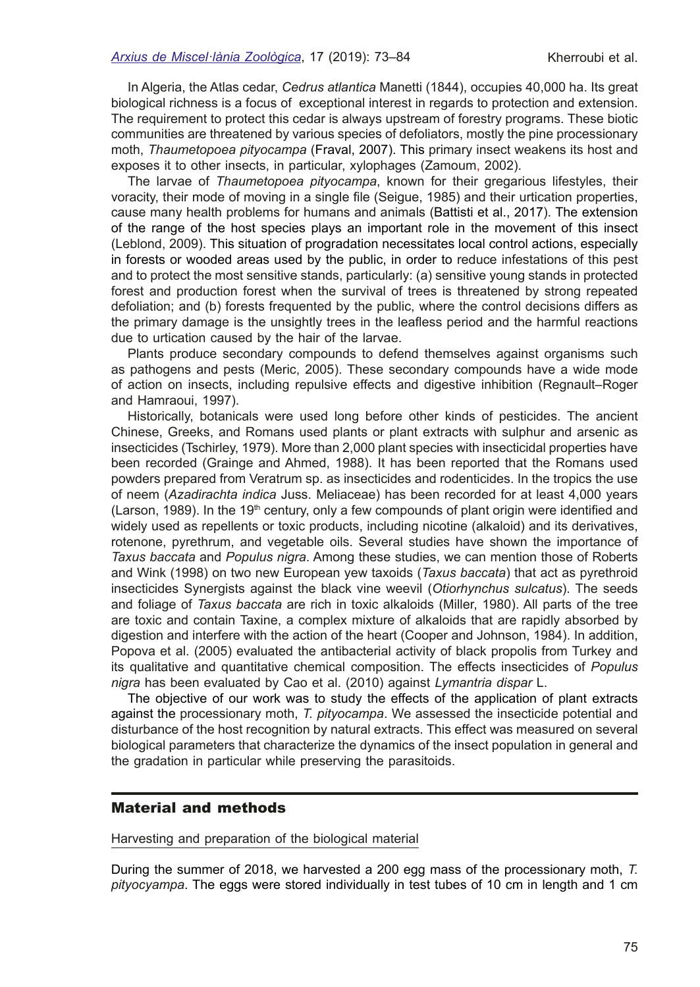In Algeria, the Atlas cedar, *Cedrus atlantica* Manetti (1844), occupies 40,000 ha. Its great biological richness is a focus of exceptional interest in regards to protection and extension. The requirement to protect this cedar is always upstream of forestry programs. These biotic communities are threatened by various species of defoliators, mostly the pine processionary moth, *Thaumetopoea pityocampa* (Fraval, 2007). This primary insect weakens its host and exposes it to other insects, in particular, xylophages (Zamoum, 2002).

The larvae of *Thaumetopoea pityocampa*, known for their gregarious lifestyles, their voracity, their mode of moving in a single fle (Seigue, 1985) and their urtication properties, cause many health problems for humans and animals (Battisti et al., 2017). The extension of the range of the host species plays an important role in the movement of this insect (Leblond, 2009). This situation of progradation necessitates local control actions, especially in forests or wooded areas used by the public, in order to reduce infestations of this pest and to protect the most sensitive stands, particularly: (a) sensitive young stands in protected forest and production forest when the survival of trees is threatened by strong repeated defoliation; and (b) forests frequented by the public, where the control decisions differs as the primary damage is the unsightly trees in the leafess period and the harmful reactions due to urtication caused by the hair of the larvae.

Plants produce secondary compounds to defend themselves against organisms such as pathogens and pests (Meric, 2005). These secondary compounds have a wide mode of action on insects, including repulsive effects and digestive inhibition (Regnault–Roger and Hamraoui, 1997).

Historically, botanicals were used long before other kinds of pesticides. The ancient Chinese, Greeks, and Romans used plants or plant extracts with sulphur and arsenic as insecticides (Tschirley, 1979). More than 2,000 plant species with insecticidal properties have been recorded (Grainge and Ahmed, 1988). It has been reported that the Romans used powders prepared from Veratrum sp. as insecticides and rodenticides. In the tropics the use of neem (*Azadirachta indica* Juss. Meliaceae) has been recorded for at least 4,000 years (Larson, 1989). In the 19<sup>th</sup> century, only a few compounds of plant origin were identified and widely used as repellents or toxic products, including nicotine (alkaloid) and its derivatives, rotenone, pyrethrum, and vegetable oils. Several studies have shown the importance of *Taxus baccata* and *Populus nigra*. Among these studies, we can mention those of Roberts and Wink (1998) on two new European yew taxoids (*Taxus baccata*) that act as pyrethroid insecticides Synergists against the black vine weevil (*Otiorhynchus sulcatus*). The seeds and foliage of *Taxus baccata* are rich in toxic alkaloids (Miller, 1980). All parts of the tree are toxic and contain Taxine, a complex mixture of alkaloids that are rapidly absorbed by digestion and interfere with the action of the heart (Cooper and Johnson, 1984). In addition, Popova et al. (2005) evaluated the antibacterial activity of black propolis from Turkey and its qualitative and quantitative chemical composition. The effects insecticides of *Populus nigra* has been evaluated by Cao et al. (2010) against *Lymantria dispar* L.

The objective of our work was to study the effects of the application of plant extracts against the processionary moth, *T. pityocampa*. We assessed the insecticide potential and disturbance of the host recognition by natural extracts. This effect was measured on several biological parameters that characterize the dynamics of the insect population in general and the gradation in particular while preserving the parasitoids.

## Material and methods

Harvesting and preparation of the biological material

During the summer of 2018, we harvested a 200 egg mass of the processionary moth, *T. pityocyampa*. The eggs were stored individually in test tubes of 10 cm in length and 1 cm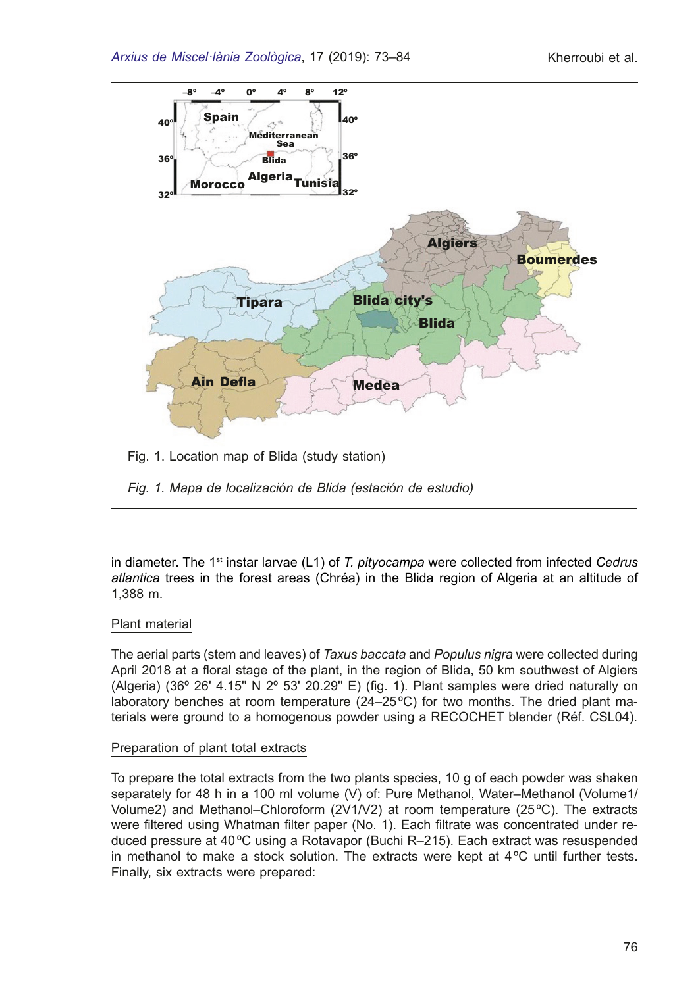

Fig. 1. Location map of Blida (study station)

*Fig. 1. Mapa de localización de Blida (estación de estudio)*

in diameter. The 1<sup>st</sup> instar larvae (L1) of *T. pityocampa* were collected from infected *Cedrus atlantica* trees in the forest areas (Chréa) in the Blida region of Algeria at an altitude of 1,388 m.

## Plant material

The aerial parts (stem and leaves) of *Taxus baccata* and *Populus nigra* were collected during April 2018 at a foral stage of the plant, in the region of Blida, 50 km southwest of Algiers (Algeria) (36 $^{\circ}$  26' 4.15" N 2 $^{\circ}$  53' 20.29" E) (fig. 1). Plant samples were dried naturally on laboratory benches at room temperature (24–25ºC) for two months. The dried plant materials were ground to a homogenous powder using a RECOCHET blender (Réf. CSL04).

## Preparation of plant total extracts

To prepare the total extracts from the two plants species, 10 g of each powder was shaken separately for 48 h in a 100 ml volume (V) of: Pure Methanol, Water–Methanol (Volume1/ Volume2) and Methanol–Chloroform (2V1/V2) at room temperature (25ºC). The extracts were fltered using Whatman flter paper (No. 1). Each fltrate was concentrated under reduced pressure at 40ºC using a Rotavapor (Buchi R–215). Each extract was resuspended in methanol to make a stock solution. The extracts were kept at  $4^{\circ}$ C until further tests. Finally, six extracts were prepared: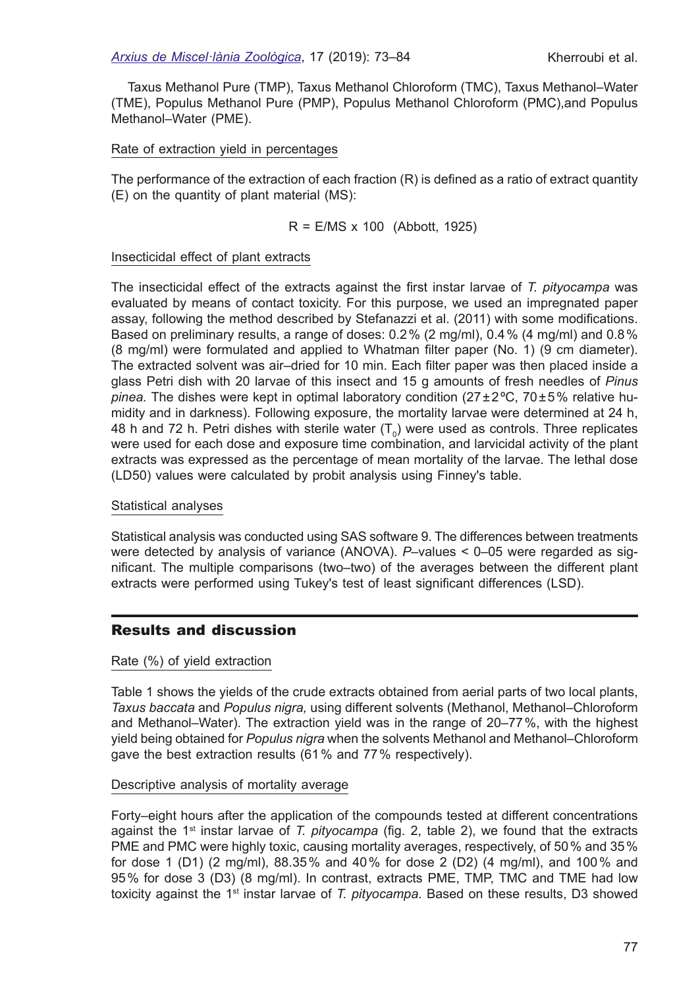Taxus Methanol Pure (TMP), Taxus Methanol Chloroform (TMC), Taxus Methanol–Water (TME), Populus Methanol Pure (PMP), Populus Methanol Chloroform (PMC),and Populus Methanol–Water (PME).

### Rate of extraction yield in percentages

The performance of the extraction of each fraction (R) is defined as a ratio of extract quantity (E) on the quantity of plant material (MS):

$$
R = E/MS \times 100
$$
 (Abbott, 1925)

#### Insecticidal effect of plant extracts

The insecticidal effect of the extracts against the frst instar larvae of *T. pityocampa* was evaluated by means of contact toxicity. For this purpose, we used an impregnated paper assay, following the method described by Stefanazzi et al. (2011) with some modifcations. Based on preliminary results, a range of doses: 0.2% (2 mg/ml), 0.4% (4 mg/ml) and 0.8% (8 mg/ml) were formulated and applied to Whatman flter paper (No. 1) (9 cm diameter). The extracted solvent was air–dried for 10 min. Each flter paper was then placed inside a glass Petri dish with 20 larvae of this insect and 15 g amounts of fresh needles of *Pinus pinea.* The dishes were kept in optimal laboratory condition (27±2ºC, 70±5% relative humidity and in darkness). Following exposure, the mortality larvae were determined at 24 h, 48 h and 72 h. Petri dishes with sterile water  $(\mathsf{T}_0)$  were used as controls. Three replicates were used for each dose and exposure time combination, and larvicidal activity of the plant extracts was expressed as the percentage of mean mortality of the larvae. The lethal dose (LD50) values were calculated by probit analysis using Finney's table.

#### Statistical analyses

Statistical analysis was conducted using SAS software 9. The differences between treatments were detected by analysis of variance (ANOVA). *P–*values < 0–05 were regarded as signifcant. The multiple comparisons (two–two) of the averages between the different plant extracts were performed using Tukey's test of least signifcant differences (LSD).

## Results and discussion

#### Rate (%) of yield extraction

Table 1 shows the yields of the crude extracts obtained from aerial parts of two local plants, *Taxus baccata* and *Populus nigra,* using different solvents (Methanol, Methanol–Chloroform and Methanol–Water). The extraction yield was in the range of 20–77%, with the highest yield being obtained for *Populus nigra* when the solvents Methanol and Methanol–Chloroform gave the best extraction results (61% and 77% respectively).

#### Descriptive analysis of mortality average

Forty–eight hours after the application of the compounds tested at different concentrations against the 1st instar larvae of *T. pityocampa* (fg. 2, table 2), we found that the extracts PME and PMC were highly toxic, causing mortality averages, respectively, of 50% and 35% for dose 1 (D1) (2 mg/ml), 88.35% and 40% for dose 2 (D2) (4 mg/ml), and 100% and 95% for dose 3 (D3) (8 mg/ml). In contrast, extracts PME, TMP, TMC and TME had low toxicity against the 1st instar larvae of *T. pityocampa*. Based on these results, D3 showed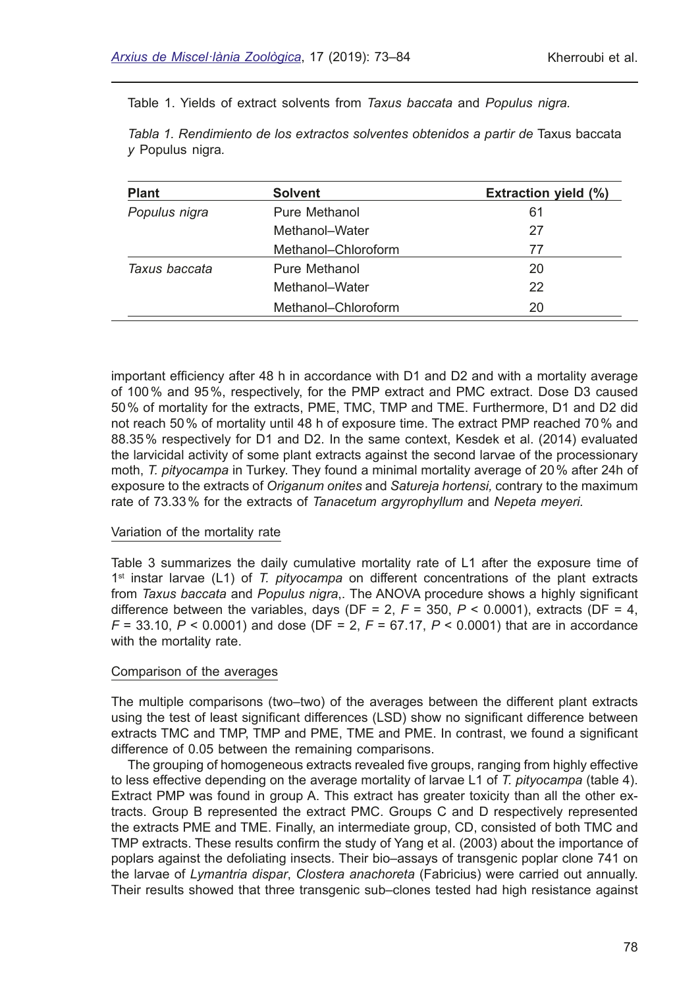Table 1. Yields of extract solvents from *Taxus baccata* and *Populus nigra.*

*Tabla 1. Rendimiento de los extractos solventes obtenidos a partir de* Taxus baccata *y* Populus nigra*.*

| <b>Plant</b>  | <b>Solvent</b>      | <b>Extraction yield (%)</b> |
|---------------|---------------------|-----------------------------|
| Populus nigra | Pure Methanol       | 61                          |
|               | Methanol-Water      | 27                          |
|               | Methanol-Chloroform | 77                          |
| Taxus baccata | Pure Methanol       | 20                          |
|               | Methanol-Water      | 22                          |
|               | Methanol-Chloroform | 20                          |

important effciency after 48 h in accordance with D1 and D2 and with a mortality average of 100% and 95%, respectively, for the PMP extract and PMC extract. Dose D3 caused 50% of mortality for the extracts, PME, TMC, TMP and TME. Furthermore, D1 and D2 did not reach 50% of mortality until 48 h of exposure time. The extract PMP reached 70% and 88.35% respectively for D1 and D2. In the same context, Kesdek et al. (2014) evaluated the larvicidal activity of some plant extracts against the second larvae of the processionary moth, *T. pityocampa* in Turkey. They found a minimal mortality average of 20% after 24h of exposure to the extracts of *Origanum onites* and *Satureja hortensi,* contrary to the maximum rate of 73.33% for the extracts of *Tanacetum argyrophyllum* and *Nepeta meyeri.*

#### Variation of the mortality rate

Table 3 summarizes the daily cumulative mortality rate of L1 after the exposure time of 1st instar larvae (L1) of *T. pityocampa* on different concentrations of the plant extracts from *Taxus baccata* and *Populus nigra*,. The ANOVA procedure shows a highly signifcant difference between the variables, days ( $DF = 2$ ,  $F = 350$ ,  $P < 0.0001$ ), extracts ( $DF = 4$ , *F* = 33.10, *P* < 0.0001) and dose (DF = 2, *F* = 67.17, *P* < 0.0001) that are in accordance with the mortality rate.

#### Comparison of the averages

The multiple comparisons (two–two) of the averages between the different plant extracts using the test of least signifcant differences (LSD) show no signifcant difference between extracts TMC and TMP, TMP and PME, TME and PME. In contrast, we found a signifcant difference of 0.05 between the remaining comparisons.

The grouping of homogeneous extracts revealed fve groups, ranging from highly effective to less effective depending on the average mortality of larvae L1 of *T. pityocampa* (table 4). Extract PMP was found in group A. This extract has greater toxicity than all the other extracts. Group B represented the extract PMC. Groups C and D respectively represented the extracts PME and TME. Finally, an intermediate group, CD, consisted of both TMC and TMP extracts. These results confrm the study of Yang et al. (2003) about the importance of poplars against the defoliating insects. Their bio–assays of transgenic poplar clone 741 on the larvae of *Lymantria dispar*, *Clostera anachoreta* (Fabricius) were carried out annually. Their results showed that three transgenic sub–clones tested had high resistance against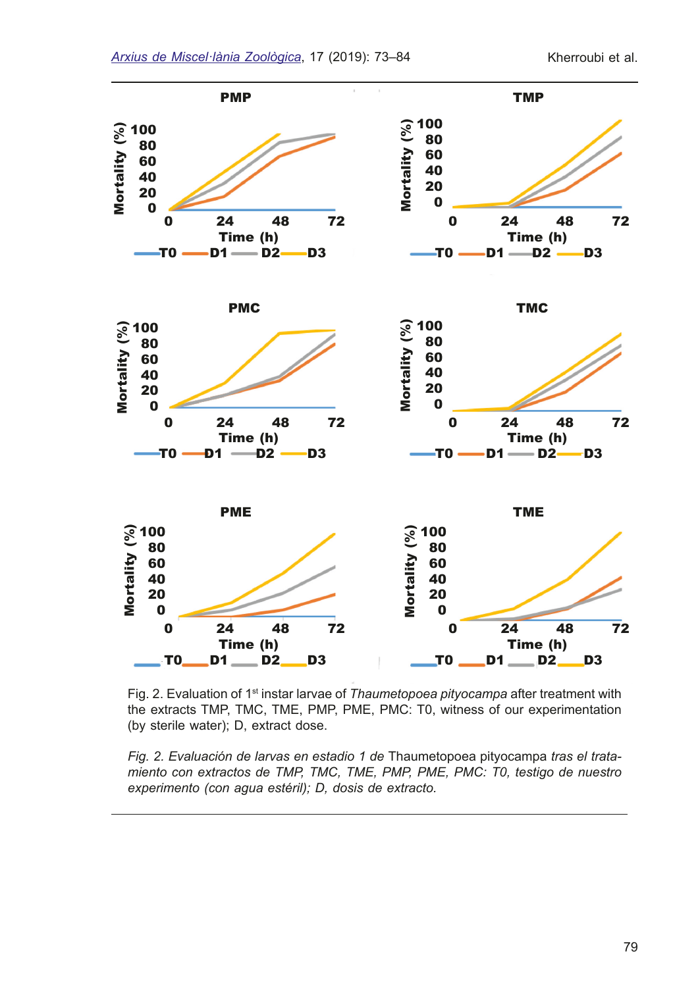

Fig. 2. Evaluation of 1<sup>st</sup> instar larvae of *Thaumetopoea pityocampa* after treatment with the extracts TMP, TMC, TME, PMP, PME, PMC: T0, witness of our experimentation (by sterile water); D, extract dose.

*Fig. 2. Evaluación de larvas en estadio 1 de* Thaumetopoea pityocampa *tras el tratamiento con extractos de TMP, TMC, TME, PMP, PME, PMC: T0, testigo de nuestro experimento (con agua estéril); D, dosis de extracto.*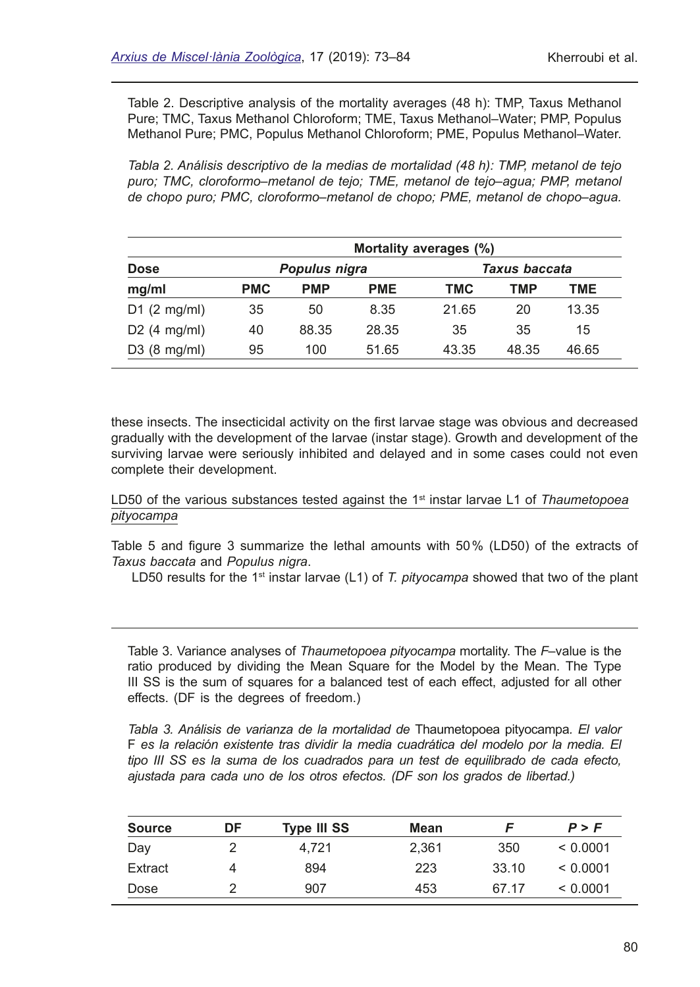Table 2. Descriptive analysis of the mortality averages (48 h): TMP, Taxus Methanol Pure; TMC, Taxus Methanol Chloroform; TME, Taxus Methanol–Water; PMP, Populus Methanol Pure; PMC, Populus Methanol Chloroform; PME, Populus Methanol–Water.

*Tabla 2. Análisis descriptivo de la medias de mortalidad (48 h): TMP, metanol de tejo puro; TMC, cloroformo*–*metanol de tejo; TME, metanol de tejo*–*agua; PMP, metanol de chopo puro; PMC, cloroformo*–*metanol de chopo; PME, metanol de chopo*–*agua.*

|                                    |                                |            |            | Mortality averages (%) |       |       |  |
|------------------------------------|--------------------------------|------------|------------|------------------------|-------|-------|--|
| <b>Dose</b>                        | Taxus baccata<br>Populus nigra |            |            |                        |       |       |  |
| mg/ml                              | <b>PMC</b>                     | <b>PMP</b> | <b>PME</b> | <b>TMC</b>             | TMP   | TME   |  |
| $D1$ (2 mg/ml)                     | 35                             | 50         | 8.35       | 21.65                  | 20    | 13.35 |  |
| D <sub>2</sub> $(4 \text{ mg/ml})$ | 40                             | 88.35      | 28.35      | 35                     | 35    | 15    |  |
| $D3$ (8 mg/ml)                     | 95                             | 100        | 51.65      | 43.35                  | 48.35 | 46.65 |  |

these insects. The insecticidal activity on the frst larvae stage was obvious and decreased gradually with the development of the larvae (instar stage). Growth and development of the surviving larvae were seriously inhibited and delayed and in some cases could not even complete their development.

LD50 of the various substances tested against the 1<sup>st</sup> instar larvae L1 of *Thaumetopoea pityocampa*

Table 5 and fgure 3 summarize the lethal amounts with 50% (LD50) of the extracts of *Taxus baccata* and *Populus nigra*.

LD50 results for the 1<sup>st</sup> instar larvae (L1) of *T. pityocampa* showed that two of the plant

Table 3. Variance analyses of *Thaumetopoea pityocampa* mortality. The *F*–value is the ratio produced by dividing the Mean Square for the Model by the Mean. The Type III SS is the sum of squares for a balanced test of each effect, adjusted for all other effects. (DF is the degrees of freedom.)

*Tabla 3. Análisis de varianza de la mortalidad de* Thaumetopoea pityocampa*. El valor*  F *es la relación existente tras dividir la media cuadrática del modelo por la media. El tipo III SS es la suma de los cuadrados para un test de equilibrado de cada efecto, ajustada para cada uno de los otros efectos. (DF son los grados de libertad.)*

| <b>Source</b> | DF | <b>Type III SS</b> | Mean  |       | P > F    |
|---------------|----|--------------------|-------|-------|----------|
| Day           | າ  | 4.721              | 2.361 | 350   | < 0.0001 |
| Extract       | 4  | 894                | 223   | 33.10 | < 0.0001 |
| Dose          | っ  | 907                | 453   | 67.17 | < 0.0001 |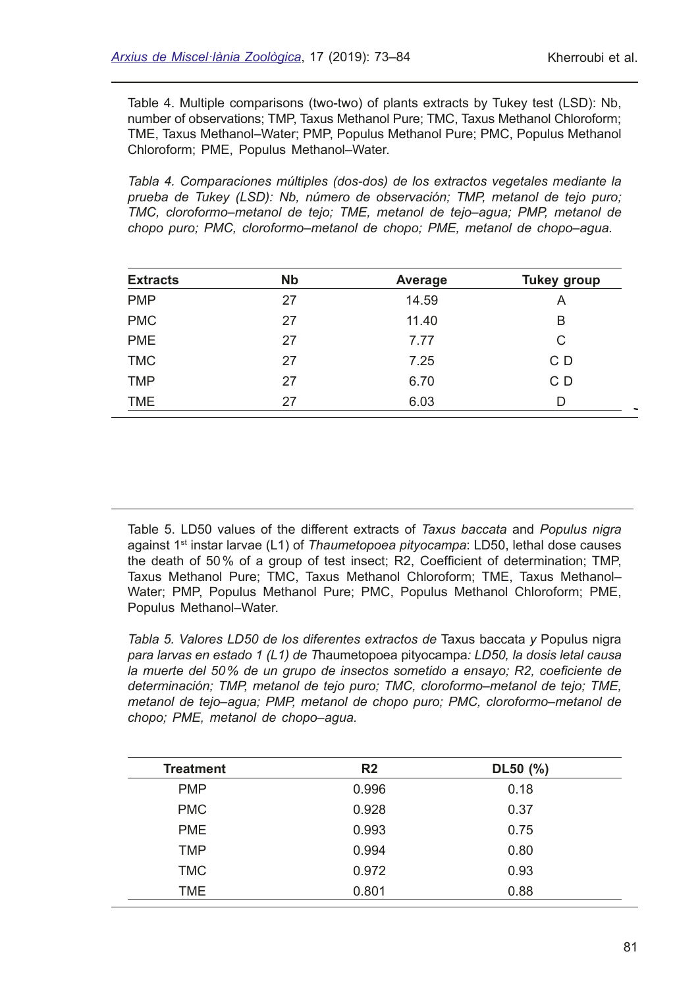Table 4. Multiple comparisons (two-two) of plants extracts by Tukey test (LSD): Nb, number of observations; TMP, Taxus Methanol Pure; TMC, Taxus Methanol Chloroform; TME, Taxus Methanol–Water; PMP, Populus Methanol Pure; PMC, Populus Methanol Chloroform; PME, Populus Methanol–Water.

*Tabla 4. Comparaciones múltiples (dos-dos) de los extractos vegetales mediante la prueba de Tukey (LSD): Nb, número de observación; TMP, metanol de tejo puro; TMC, cloroformo*–*metanol de tejo; TME, metanol de tejo*–*agua; PMP, metanol de chopo puro; PMC, cloroformo*–*metanol de chopo; PME, metanol de chopo*–*agua.*

| <b>Extracts</b> | <b>N<sub>b</sub></b> | Average | <b>Tukey group</b> |
|-----------------|----------------------|---------|--------------------|
| <b>PMP</b>      | 27                   | 14.59   | Α                  |
| <b>PMC</b>      | 27                   | 11.40   | B                  |
| <b>PME</b>      | 27                   | 7.77    | С                  |
| <b>TMC</b>      | 27                   | 7.25    | C D                |
| <b>TMP</b>      | 27                   | 6.70    | C D                |
| <b>TME</b>      | 27                   | 6.03    | D                  |

Table 5. LD50 values of the different extracts of *Taxus baccata* and *Populus nigra* against 1st instar larvae (L1) of *Thaumetopoea pityocampa*: LD50, lethal dose causes the death of 50% of a group of test insect; R2, Coeffcient of determination; TMP, Taxus Methanol Pure; TMC, Taxus Methanol Chloroform; TME, Taxus Methanol– Water; PMP, Populus Methanol Pure; PMC, Populus Methanol Chloroform; PME, Populus Methanol–Water.

*Tabla 5. Valores LD50 de los diferentes extractos de* Taxus baccata *y* Populus nigra *para larvas en estado 1 (L1) de T*haumetopoea pityocampa*: LD50, la dosis letal causa la muerte del 50% de un grupo de insectos sometido a ensayo; R2, coefciente de determinación; TMP, metanol de tejo puro; TMC, cloroformo*–*metanol de tejo; TME, metanol de tejo*–*agua; PMP, metanol de chopo puro; PMC, cloroformo*–*metanol de chopo; PME, metanol de chopo*–*agua.*

| <b>Treatment</b> | R <sub>2</sub> | $DL50$ (%) |  |
|------------------|----------------|------------|--|
| <b>PMP</b>       | 0.996          | 0.18       |  |
| <b>PMC</b>       | 0.928          | 0.37       |  |
| <b>PME</b>       | 0.993          | 0.75       |  |
| <b>TMP</b>       | 0.994          | 0.80       |  |
| <b>TMC</b>       | 0.972          | 0.93       |  |
| TME.             | 0.801          | 0.88       |  |
|                  |                |            |  |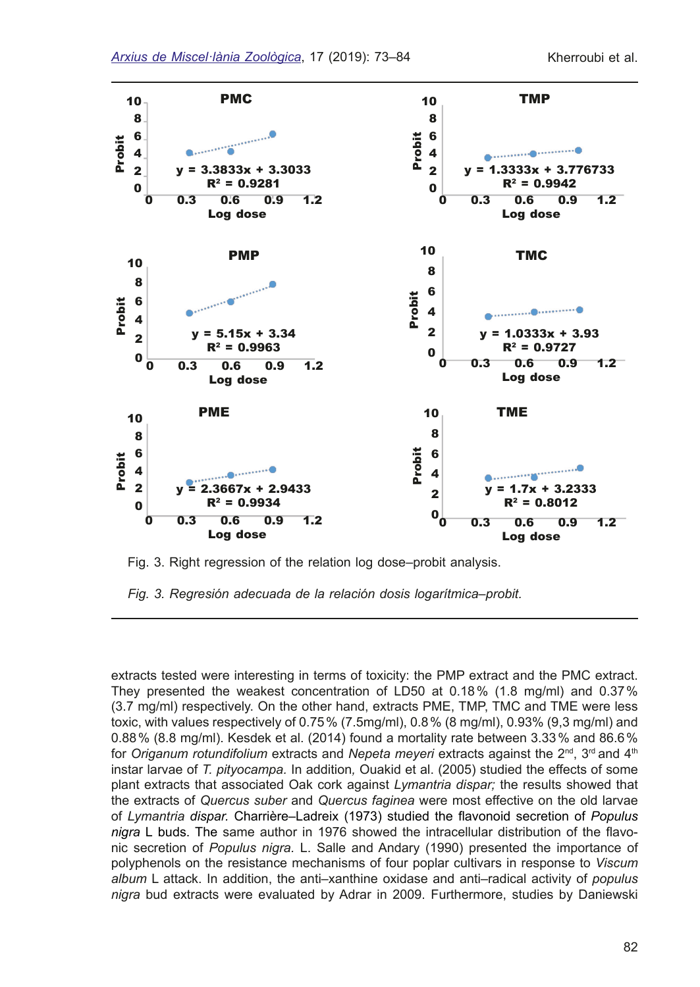

Fig. 3. Right regression of the relation log dose–probit analysis.

*Fig. 3. Regresión adecuada de la relación dosis logarítmica*–*probit.*

extracts tested were interesting in terms of toxicity: the PMP extract and the PMC extract. They presented the weakest concentration of LD50 at 0.18% (1.8 mg/ml) and 0.37% (3.7 mg/ml) respectively. On the other hand, extracts PME, TMP, TMC and TME were less toxic, with values respectively of 0.75% (7.5mg/ml), 0.8% (8 mg/ml), 0.93% (9,3 mg/ml) and 0.88% (8.8 mg/ml). Kesdek et al. (2014) found a mortality rate between 3.33% and 86.6% for *Origanum rotundifolium* extracts and *Nepeta meyeri* extracts against the 2<sup>nd</sup>, 3<sup>rd</sup> and 4<sup>th</sup> instar larvae of *T. pityocampa.* In addition*,* Ouakid et al. (2005) studied the effects of some plant extracts that associated Oak cork against *Lymantria dispar;* the results showed that the extracts of *Quercus suber* and *Quercus faginea* were most effective on the old larvae of *Lymantria dispar.* Charrière–Ladreix (1973) studied the favonoid secretion of *Populus nigra* L buds. The same author in 1976 showed the intracellular distribution of the favonic secretion of *Populus nigra.* L. Salle and Andary (1990) presented the importance of polyphenols on the resistance mechanisms of four poplar cultivars in response to *Viscum album* L attack. In addition, the anti–xanthine oxidase and anti–radical activity of *populus nigra* bud extracts were evaluated by Adrar in 2009. Furthermore, studies by Daniewski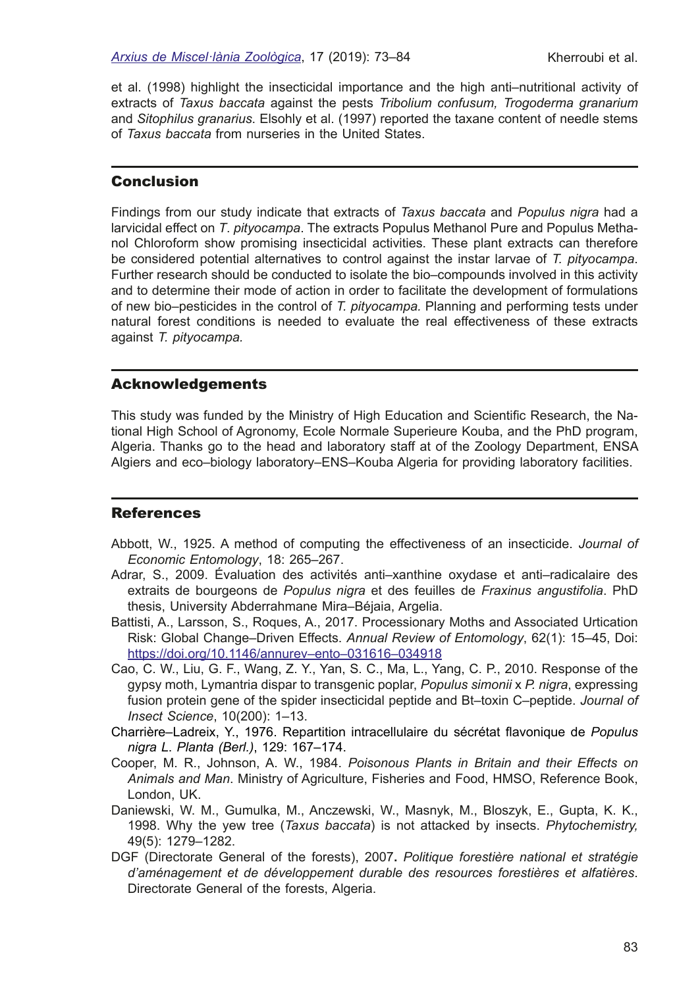et al. (1998) highlight the insecticidal importance and the high anti–nutritional activity of extracts of *Taxus baccata* against the pests *Tribolium confusum, Trogoderma granarium* and *Sitophilus granarius*. Elsohly et al. (1997) reported the taxane content of needle stems of *Taxus baccata* from nurseries in the United States.

#### **Conclusion**

Findings from our study indicate that extracts of *Taxus baccata* and *Populus nigra* had a larvicidal effect on *T*. *pityocampa*. The extracts Populus Methanol Pure and Populus Methanol Chloroform show promising insecticidal activities. These plant extracts can therefore be considered potential alternatives to control against the instar larvae of *T. pityocampa*. Further research should be conducted to isolate the bio–compounds involved in this activity and to determine their mode of action in order to facilitate the development of formulations of new bio–pesticides in the control of *T. pityocampa.* Planning and performing tests under natural forest conditions is needed to evaluate the real effectiveness of these extracts against *T. pityocampa.*

#### Acknowledgements

This study was funded by the Ministry of High Education and Scientifc Research, the National High School of Agronomy, Ecole Normale Superieure Kouba, and the PhD program, Algeria. Thanks go to the head and laboratory staff at of the Zoology Department, ENSA Algiers and eco–biology laboratory–ENS–Kouba Algeria for providing laboratory facilities.

#### **References**

- Abbott, W., 1925. A method of computing the effectiveness of an insecticide. *Journal of Economic Entomology*, 18: 265–267.
- Adrar, S., 2009. Évaluation des activités anti–xanthine oxydase et anti–radicalaire des extraits de bourgeons de *Populus nigra* et des feuilles de *Fraxinus angustifolia*. PhD thesis, University Abderrahmane Mira–Béjaia, Argelia.
- Battisti, A., Larsson, S., Roques, A., 2017. Processionary Moths and Associated Urtication Risk: Global Change–Driven Effects. *Annual Review of Entomology*, 62(1): 15–45, Doi: <https://doi.org/10.1146/annurev–ento–031616–034918>
- Cao, C. W., Liu, G. F., Wang, Z. Y., Yan, S. C., Ma, L., Yang, C. P., 2010. Response of the gypsy moth, Lymantria dispar to transgenic poplar, *Populus simonii* x *P. nigra*, expressing fusion protein gene of the spider insecticidal peptide and Bt–toxin C–peptide. *Journal of Insect Science*, 10(200): 1–13.
- Charrière–Ladreix, Y., 1976. Repartition intracellulaire du sécrétat favonique de *Populus nigra L*. *Planta (Berl.)*, 129: 167–174.
- Cooper, M. R., Johnson, A. W., 1984. *Poisonous Plants in Britain and their Effects on Animals and Man*. Ministry of Agriculture, Fisheries and Food, HMSO, Reference Book, London, UK.
- Daniewski, W. M., Gumulka, M., Anczewski, W., Masnyk, M., Bloszyk, E., Gupta, K. K., 1998. Why the yew tree (*Taxus baccata*) is not attacked by insects. *Phytochemistry,* 49(5): 1279–1282.
- DGF (Directorate General of the forests), 2007**.** *Politique forestière national et stratégie d'aménagement et de développement durable des resources forestières et alfatières*. Directorate General of the forests, Algeria.